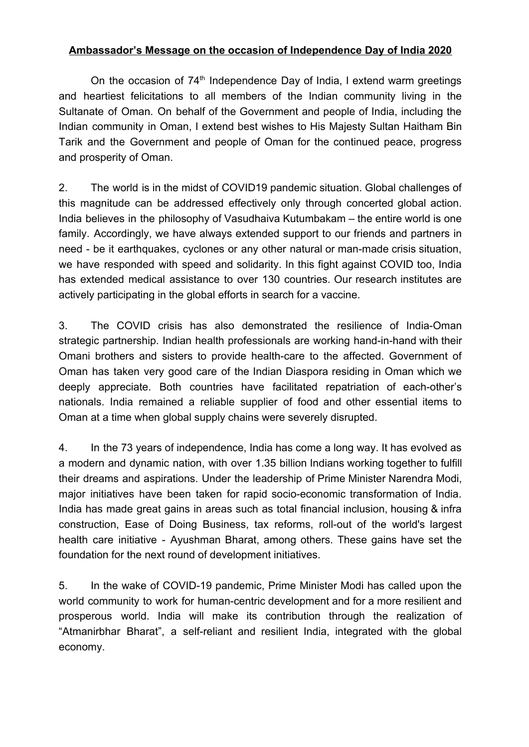## **Ambassador's Message on the occasion of Independence Day of India 2020**

On the occasion of 74<sup>th</sup> Independence Day of India, I extend warm greetings and heartiest felicitations to all members of the Indian community living in the Sultanate of Oman. On behalf of the Government and people of India, including the Indian community in Oman, I extend best wishes to His Majesty Sultan Haitham Bin Tarik and the Government and people of Oman for the continued peace, progress and prosperity of Oman.

2. The world is in the midst of COVID19 pandemic situation. Global challenges of this magnitude can be addressed effectively only through concerted global action. India believes in the philosophy of Vasudhaiva Kutumbakam – the entire world is one family. Accordingly, we have always extended support to our friends and partners in need - be it earthquakes, cyclones or any other natural or man-made crisis situation, we have responded with speed and solidarity. In this fight against COVID too, India has extended medical assistance to over 130 countries. Our research institutes are actively participating in the global efforts in search for a vaccine.

3. The COVID crisis has also demonstrated the resilience of India-Oman strategic partnership. Indian health professionals are working hand-in-hand with their Omani brothers and sisters to provide health-care to the affected. Government of Oman has taken very good care of the Indian Diaspora residing in Oman which we deeply appreciate. Both countries have facilitated repatriation of each-other's nationals. India remained a reliable supplier of food and other essential items to Oman at a time when global supply chains were severely disrupted.

4. In the 73 years of independence, India has come a long way. It has evolved as a modern and dynamic nation, with over 1.35 billion Indians working together to fulfill their dreams and aspirations. Under the leadership of Prime Minister Narendra Modi, major initiatives have been taken for rapid socio-economic transformation of India. India has made great gains in areas such as total financial inclusion, housing & infra construction, Ease of Doing Business, tax reforms, roll-out of the world's largest health care initiative - Ayushman Bharat, among others. These gains have set the foundation for the next round of development initiatives.

5. In the wake of COVID-19 pandemic, Prime Minister Modi has called upon the world community to work for human-centric development and for a more resilient and prosperous world. India will make its contribution through the realization of "Atmanirbhar Bharat", a self-reliant and resilient India, integrated with the global economy.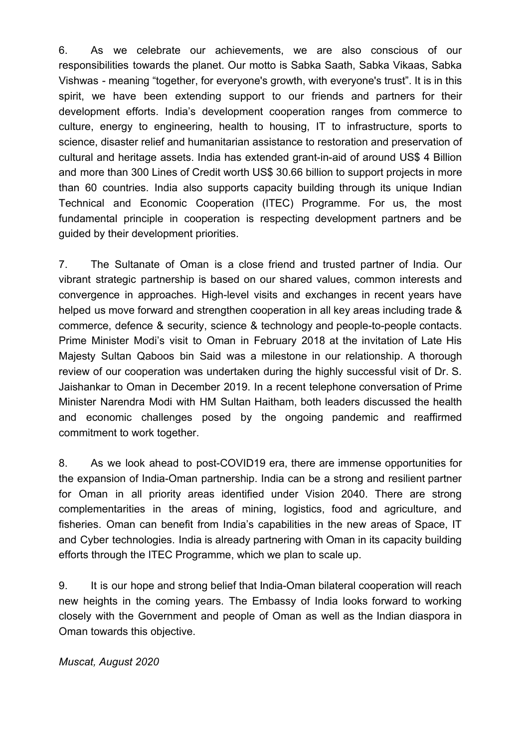6. As we celebrate our achievements, we are also conscious of our responsibilities towards the planet. Our motto is Sabka Saath, Sabka Vikaas, Sabka Vishwas - meaning "together, for everyone's growth, with everyone's trust". It is in this spirit, we have been extending support to our friends and partners for their development efforts. India's development cooperation ranges from commerce to culture, energy to engineering, health to housing, IT to infrastructure, sports to science, disaster relief and humanitarian assistance to restoration and preservation of cultural and heritage assets. India has extended grant-in-aid of around US\$ 4 Billion and more than 300 Lines of Credit worth US\$ 30.66 billion to support projects in more than 60 countries. India also supports capacity building through its unique Indian Technical and Economic Cooperation (ITEC) Programme. For us, the most fundamental principle in cooperation is respecting development partners and be guided by their development priorities.

7. The Sultanate of Oman is a close friend and trusted partner of India. Our vibrant strategic partnership is based on our shared values, common interests and convergence in approaches. High-level visits and exchanges in recent years have helped us move forward and strengthen cooperation in all key areas including trade & commerce, defence & security, science & technology and people-to-people contacts. Prime Minister Modi's visit to Oman in February 2018 at the invitation of Late His Majesty Sultan Qaboos bin Said was a milestone in our relationship. A thorough review of our cooperation was undertaken during the highly successful visit of Dr. S. Jaishankar to Oman in December 2019. In a recent telephone conversation of Prime Minister Narendra Modi with HM Sultan Haitham, both leaders discussed the health and economic challenges posed by the ongoing pandemic and reaffirmed commitment to work together.

8. As we look ahead to post-COVID19 era, there are immense opportunities for the expansion of India-Oman partnership. India can be a strong and resilient partner for Oman in all priority areas identified under Vision 2040. There are strong complementarities in the areas of mining, logistics, food and agriculture, and fisheries. Oman can benefit from India's capabilities in the new areas of Space, IT and Cyber technologies. India is already partnering with Oman in its capacity building efforts through the ITEC Programme, which we plan to scale up.

9. It is our hope and strong belief that India-Oman bilateral cooperation will reach new heights in the coming years. The Embassy of India looks forward to working closely with the Government and people of Oman as well as the Indian diaspora in Oman towards this objective.

*Muscat, August 2020*